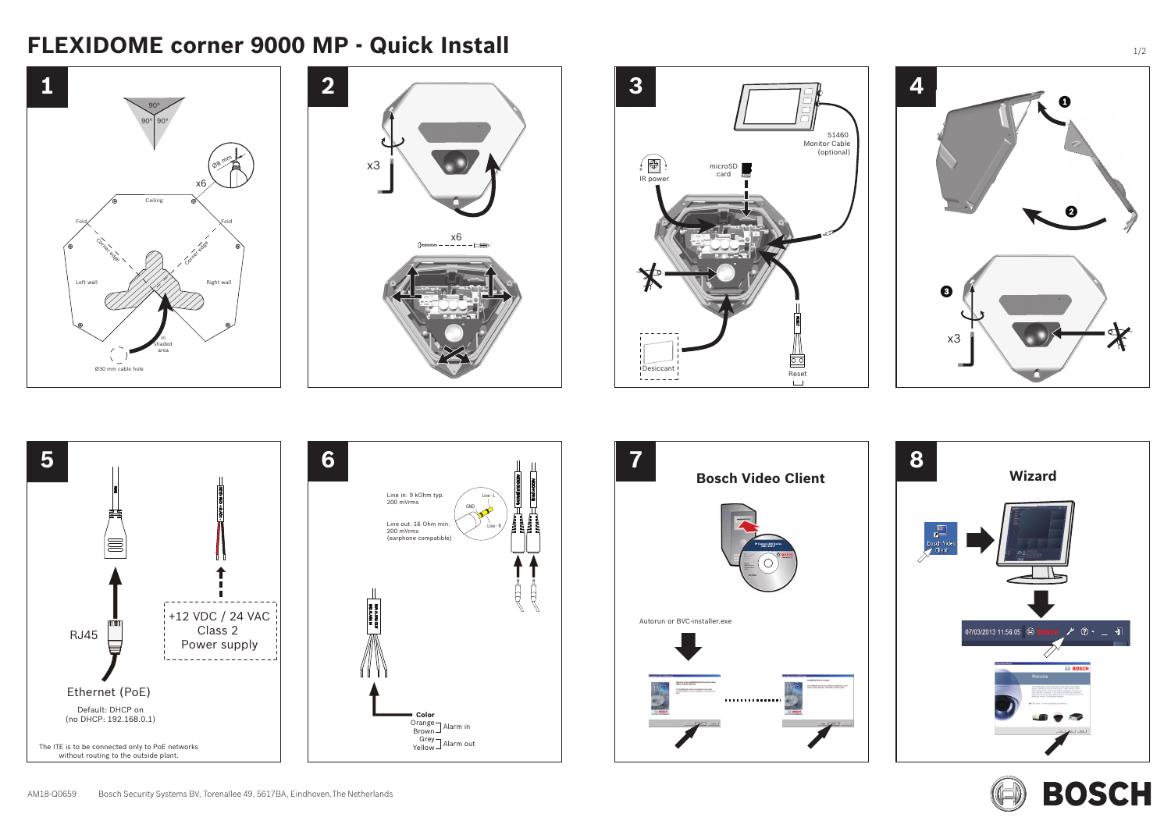



















# **FLEXIDOME corner 9000 MP - Quick Install**